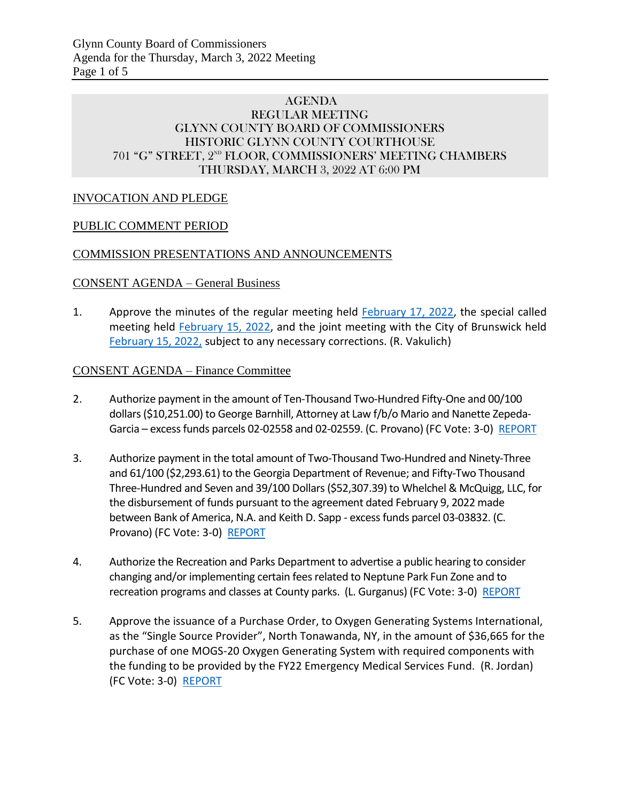### AGENDA REGULAR MEETING GLYNN COUNTY BOARD OF COMMISSIONERS HISTORIC GLYNN COUNTY COURTHOUSE 701 "G" STREET, 2<sup>ND</sup> FLOOR, COMMISSIONERS' MEETING CHAMBERS THURSDAY, MARCH 3, 2022 AT 6:00 PM

## INVOCATION AND PLEDGE

### PUBLIC COMMENT PERIOD

### COMMISSION PRESENTATIONS AND ANNOUNCEMENTS

#### CONSENT AGENDA – General Business

1. Approve the minutes of the regular meeting held [February 17, 2022,](https://glynncounty.org/DocumentCenter/View/74842/February-17-2022) the special called meeting held [February 15, 2022,](https://glynncounty.org/DocumentCenter/View/74840/February-15-2022-SC) and the joint meeting with the City of Brunswick held [February 15, 2022,](https://glynncounty.org/DocumentCenter/View/74841/February-15-2022-Joint) subject to any necessary corrections. (R. Vakulich)

#### CONSENT AGENDA – Finance Committee

- 2. Authorize payment in the amount of Ten-Thousand Two-Hundred Fifty-One and 00/100 dollars (\$10,251.00) to George Barnhill, Attorney at Law f/b/o Mario and Nanette Zepeda-Garcia – excess funds parcels 02-02558 and 02-02559. (C. Provano) (FC Vote: 3-0) [REPORT](https://www.glynncounty.org/DocumentCenter/View/74756/MEMO---02-02558-and-02-02559-Excess-funds)
- 3. Authorize payment in the total amount of Two-Thousand Two-Hundred and Ninety-Three and 61/100 (\$2,293.61) to the Georgia Department of Revenue; and Fifty-Two Thousand Three-Hundred and Seven and 39/100 Dollars (\$52,307.39) to Whelchel & McQuigg, LLC, for the disbursement of funds pursuant to the agreement dated February 9, 2022 made between Bank of America, N.A. and Keith D. Sapp - excess funds parcel 03-03832. (C. Provano) (FC Vote: 3-0) [REPORT](https://www.glynncounty.org/DocumentCenter/View/74730/MEMO---03-03832-Excess-Funds)
- 4. Authorize the Recreation and Parks Department to advertise a public hearing to consider changing and/or implementing certain fees related to Neptune Park Fun Zone and to recreation programs and classes at County parks. (L. Gurganus) (FC Vote: 3-0) [REPORT](https://www.glynncounty.org/DocumentCenter/View/74754/MEMO---Request-for-Public-Hearing-for-Neptune-Park-Fun-Zone-Fees)
- 5. Approve the issuance of a Purchase Order, to Oxygen Generating Systems International, as the "Single Source Provider", North Tonawanda, NY, in the amount of \$36,665 for the purchase of one MOGS-20 Oxygen Generating System with required components with the funding to be provided by the FY22 Emergency Medical Services Fund. (R. Jordan) (FC Vote: 3-0) [REPORT](https://www.glynncounty.org/DocumentCenter/View/74753/MEMO---Oxygen-Generating-System)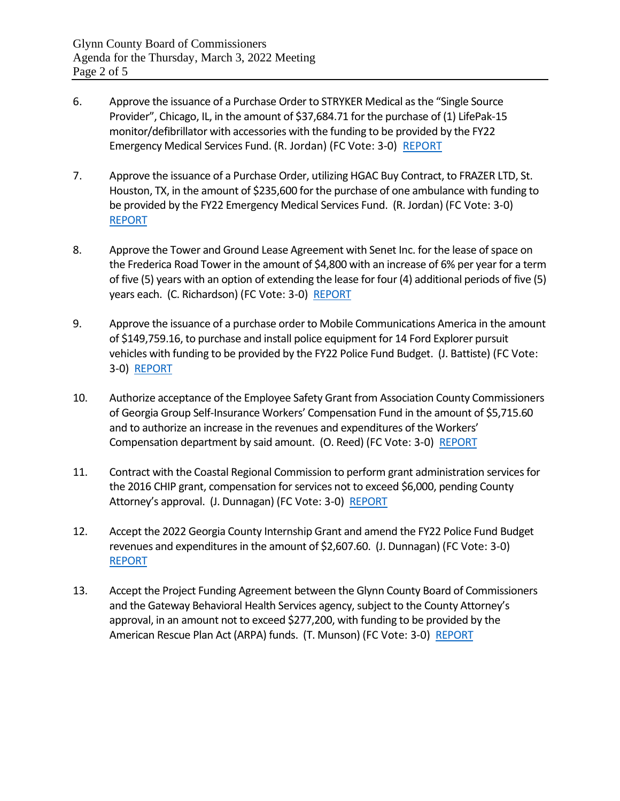- 6. Approve the issuance of a Purchase Order to STRYKER Medical as the "Single Source Provider", Chicago, IL, in the amount of \$37,684.71 for the purchase of (1) LifePak-15 monitor/defibrillator with accessories with the funding to be provided by the FY22 Emergency Medical Services Fund. (R. Jordan) (FC Vote: 3-0) [REPORT](https://www.glynncounty.org/DocumentCenter/View/74742/MEMO---EMS-Equipment-02-2022)
- 7. Approve the issuance of a Purchase Order, utilizing HGAC Buy Contract, to FRAZER LTD, St. Houston, TX, in the amount of \$235,600 for the purchase of one ambulance with funding to be provided by the FY22 Emergency Medical Services Fund. (R. Jordan) (FC Vote: 3-0) [REPORT](https://www.glynncounty.org/DocumentCenter/View/74744/MEMO---FRAZER-Ambulance)
- 8. Approve the Tower and Ground Lease Agreement with Senet Inc. for the lease of space on the Frederica Road Tower in the amount of \$4,800 with an increase of 6% per year for a term of five (5) years with an option of extending the lease for four (4) additional periods of five (5) years each. (C. Richardson) (FC Vote: 3-0) [REPORT](https://www.glynncounty.org/DocumentCenter/View/74745/MEMO---Frederica-Tower-Lease-with-Senet)
- 9. Approve the issuance of a purchase order to Mobile Communications America in the amount of \$149,759.16, to purchase and install police equipment for 14 Ford Explorer pursuit vehicles with funding to be provided by the FY22 Police Fund Budget. (J. Battiste) (FC Vote: 3-0) [REPORT](https://www.glynncounty.org/DocumentCenter/View/74746/MEMO---FY22-Explorer-Upfitting)
- 10. Authorize acceptance of the Employee Safety Grant from Association County Commissioners of Georgia Group Self-Insurance Workers' Compensation Fund in the amount of \$5,715.60 and to authorize an increase in the revenues and expenditures of the Workers' Compensation department by said amount. (O. Reed) (FC Vote: 3-0) [REPORT](https://www.glynncounty.org/DocumentCenter/View/74741/MEMO---EMPLOYEE-SAFETY-GRANT)
- 11. Contract with the Coastal Regional Commission to perform grant administration services for the 2016 CHIP grant, compensation for services not to exceed \$6,000, pending County Attorney's approval. (J. Dunnagan) (FC Vote: 3-0) [REPORT](https://www.glynncounty.org/DocumentCenter/View/74736/MEMO---CHIP-Consultant-Agenda-item)
- 12. Accept the 2022 Georgia County Internship Grant and amend the FY22 Police Fund Budget revenues and expenditures in the amount of \$2,607.60. (J. Dunnagan) (FC Vote: 3-0) [REPORT](https://www.glynncounty.org/DocumentCenter/View/74731/MEMO---ACCG-Grant-2022---Police-Dept-Item)
- 13. Accept the Project Funding Agreement between the Glynn County Board of Commissioners and the Gateway Behavioral Health Services agency, subject to the County Attorney's approval, in an amount not to exceed \$277,200, with funding to be provided by the American Rescue Plan Act (ARPA) funds. (T. Munson) (FC Vote: 3-0) [REPORT](https://www.glynncounty.org/DocumentCenter/View/74733/MEMO---ARP-Funding-Agreement-GATEWAY)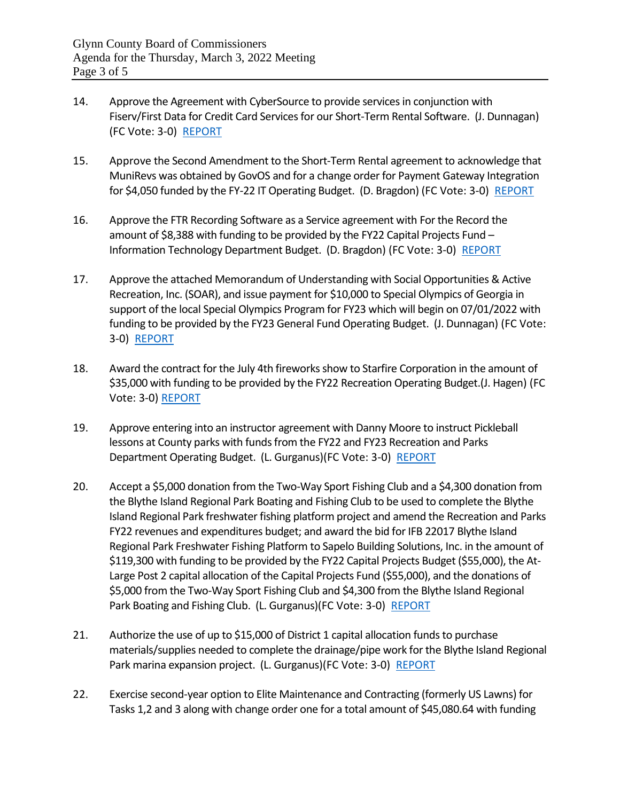- 14. Approve the Agreement with CyberSource to provide services in conjunction with Fiserv/First Data for Credit Card Services for our Short-Term Rental Software. (J. Dunnagan) (FC Vote: 3-0) [REPORT](https://www.glynncounty.org/DocumentCenter/View/74739/MEMO---CYBERSOURCE)
- 15. Approve the Second Amendment to the Short-Term Rental agreement to acknowledge that MuniRevs was obtained by GovOS and for a change order for Payment Gateway Integration for \$4,050 funded by the FY-22 IT Operating Budget. (D. Bragdon) (FC Vote: 3-0) [REPORT](https://www.glynncounty.org/DocumentCenter/View/74747/MEMO---GovOS-change-order)
- 16. Approve the FTR Recording Software as a Service agreement with For the Record the amount of \$8,388 with funding to be provided by the FY22 Capital Projects Fund -Information Technology Department Budget. (D. Bragdon) (FC Vote: 3-0) [REPORT](https://www.glynncounty.org/DocumentCenter/View/74743/MEMO---For-the-Record---Juvenile-Court)
- 17. Approve the attached Memorandum of Understanding with Social Opportunities & Active Recreation, Inc. (SOAR), and issue payment for \$10,000 to Special Olympics of Georgia in support of the local Special Olympics Program for FY23 which will begin on 07/01/2022 with funding to be provided by the FY23 General Fund Operating Budget. (J. Dunnagan) (FC Vote: 3-0) [REPORT](https://www.glynncounty.org/DocumentCenter/View/74752/MEMO---MOU-with-SOAR)
- 18. Award the contract for the July 4th fireworks show to Starfire Corporation in the amount of \$35,000 with funding to be provided by the FY22 Recreation Operating Budget.(J. Hagen) (FC Vote: 3-0) [REPORT](https://www.glynncounty.org/DocumentCenter/View/74750/MEMO---July-4th-Fireworks-Presentation-21422)
- 19. Approve entering into an instructor agreement with Danny Moore to instruct Pickleball lessons at County parks with funds from the FY22 and FY23 Recreation and Parks Department Operating Budget. (L. Gurganus)(FC Vote: 3-0) [REPORT](https://www.glynncounty.org/DocumentCenter/View/74749/MEMO---Instructor-Agreement-with-Danny-Moore)
- 20. Accept a \$5,000 donation from the Two-Way Sport Fishing Club and a \$4,300 donation from the Blythe Island Regional Park Boating and Fishing Club to be used to complete the Blythe Island Regional Park freshwater fishing platform project and amend the Recreation and Parks FY22 revenues and expenditures budget; and award the bid for IFB 22017 Blythe Island Regional Park Freshwater Fishing Platform to Sapelo Building Solutions, Inc. in the amount of \$119,300 with funding to be provided by the FY22 Capital Projects Budget (\$55,000), the At-Large Post 2 capital allocation of the Capital Projects Fund (\$55,000), and the donations of \$5,000 from the Two-Way Sport Fishing Club and \$4,300 from the Blythe Island Regional Park Boating and Fishing Club. (L. Gurganus)(FC Vote: 3-0) [REPORT](https://www.glynncounty.org/DocumentCenter/View/74734/MEMO---BIRP-Freshwater-Fishing-Platform-IFB-22017)
- 21. Authorize the use of up to \$15,000 of District 1 capital allocation funds to purchase materials/supplies needed to complete the drainage/pipe work for the Blythe Island Regional Park marina expansion project. (L. Gurganus)(FC Vote: 3-0) [REPORT](https://www.glynncounty.org/DocumentCenter/View/74735/MEMO---BIRP-Marina-Parking-Expansion-Project)
- 22. Exercise second-year option to Elite Maintenance and Contracting (formerly US Lawns) for Tasks 1,2 and 3 along with change order one for a total amount of \$45,080.64 with funding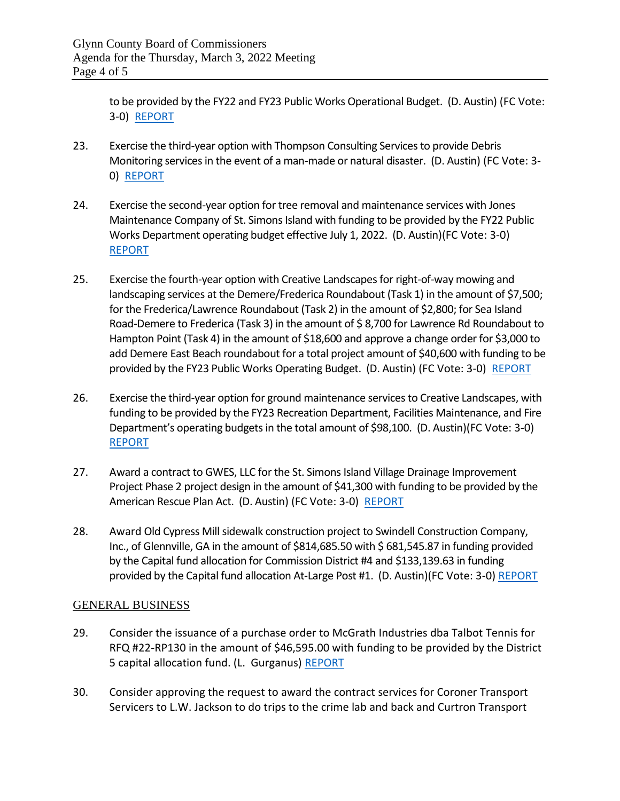to be provided by the FY22 and FY23 Public Works Operational Budget. (D. Austin) (FC Vote: 3-0) [REPORT](https://www.glynncounty.org/DocumentCenter/View/74738/MEMO---Courthouse-Maintenance-CY-22)

- 23. Exercise the third-year option with Thompson Consulting Services to provide Debris Monitoring services in the event of a man-made or natural disaster. (D. Austin) (FC Vote: 3- 0) [REPORT](https://www.glynncounty.org/DocumentCenter/View/74740/MEMO---Debris-Monitoring-Contract---2022)
- 24. Exercise the second-year option for tree removal and maintenance services with Jones Maintenance Company of St. Simons Island with funding to be provided by the FY22 Public Works Department operating budget effective July 1, 2022. (D. Austin)(FC Vote: 3-0) [REPORT](https://www.glynncounty.org/DocumentCenter/View/74755/MEMO--Tree-Services-22)
- 25. Exercise the fourth-year option with Creative Landscapes for right-of-way mowing and landscaping services at the Demere/Frederica Roundabout (Task 1) in the amount of \$7,500; for the Frederica/Lawrence Roundabout (Task 2) in the amount of \$2,800; for Sea Island Road-Demere to Frederica (Task 3) in the amount of \$8,700 for Lawrence Rd Roundabout to Hampton Point (Task 4) in the amount of \$18,600 and approve a change order for \$3,000 to add Demere East Beach roundabout for a total project amount of \$40,600 with funding to be provided by the FY23 Public Works Operating Budget. (D. Austin) (FC Vote: 3-0) [REPORT](https://www.glynncounty.org/DocumentCenter/View/74751/MEMO---Landscaping-SSI-23-003)
- 26. Exercise the third-year option for ground maintenance services to Creative Landscapes, with funding to be provided by the FY23 Recreation Department, Facilities Maintenance, and Fire Department's operating budgets in the total amount of \$98,100. (D. Austin)(FC Vote: 3-0) [REPORT](https://www.glynncounty.org/DocumentCenter/View/74748/MEMO---Grounds-Maintenance--2022---Third-option-year-003)
- 27. Award a contract to GWES, LLC for the St. Simons Island Village Drainage Improvement Project Phase 2 project design in the amount of \$41,300 with funding to be provided by the American Rescue Plan Act. (D. Austin) (FC Vote: 3-0) [REPORT](https://www.glynncounty.org/DocumentCenter/View/74732/MEMO---American-Rescue-Act-Village-Drainage-Phase-2---Design-award-002)
- 28. Award Old Cypress Mill sidewalk construction project to Swindell Construction Company, Inc., of Glennville, GA in the amount of \$814,685.50 with \$681,545.87 in funding provided by the Capital fund allocation for Commission District #4 and \$133,139.63 in funding provided by the Capital fund allocation At-Large Post #1. (D. Austin)(FC Vote: 3-0) [REPORT](https://www.glynncounty.org/DocumentCenter/View/74758/MEMO---Old-Cypress-Mill-Road-new-sidewalk-construction-project---16-Feb-22)

## GENERAL BUSINESS

- 29. Consider the issuance of a purchase order to McGrath Industries dba Talbot Tennis for RFQ #22-RP130 in the amount of \$46,595.00 with funding to be provided by the District 5 capital allocation fund. (L. Gurganus) [REPORT](https://glynncounty.org/DocumentCenter/View/74851/Combined-Memo-Selden-Park)
- 30. Consider approving the request to award the contract services for Coroner Transport Servicers to L.W. Jackson to do trips to the crime lab and back and Curtron Transport